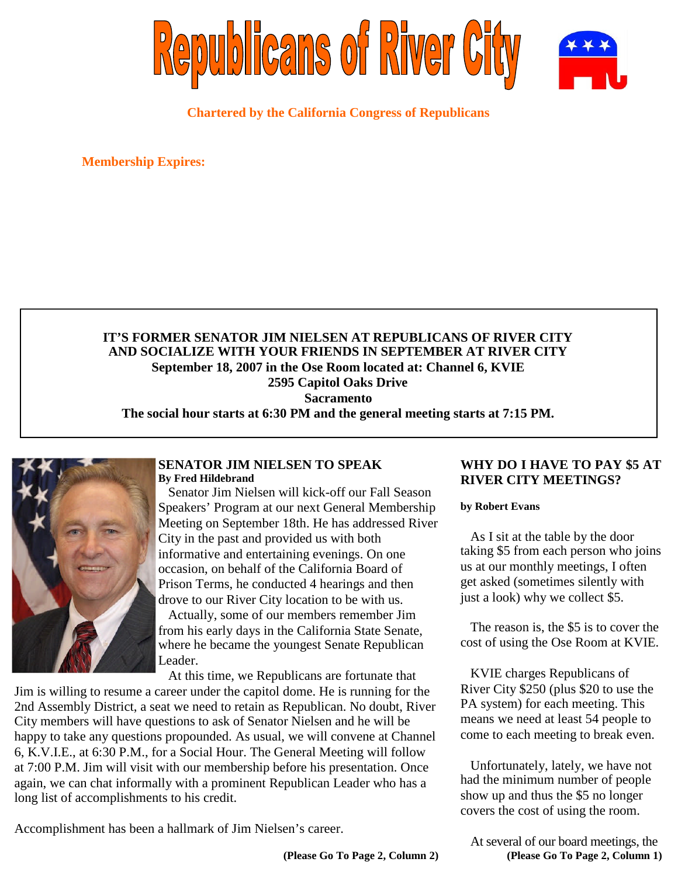

**Chartered by the California Congress of Republicans**

**Membership Expires:**

## **IT'S FORMER SENATOR JIM NIELSEN AT REPUBLICANS OF RIVER CITY AND SOCIALIZE WITH YOUR FRIENDS IN SEPTEMBER AT RIVER CITY September 18, 2007 in the Ose Room located at: Channel 6, KVIE 2595 Capitol Oaks Drive Sacramento**

**The social hour starts at 6:30 PM and the general meeting starts at 7:15 PM.**



#### **SENATOR JIM NIELSEN TO SPEAK By Fred Hildebrand**

Senator Jim Nielsen will kick-off our Fall Season Speakers' Program at our next General Membership Meeting on September 18th. He has addressed River City in the past and provided us with both informative and entertaining evenings. On one occasion, on behalf of the California Board of Prison Terms, he conducted 4 hearings and then drove to our River City location to be with us.

Actually, some of our members remember Jim from his early days in the California State Senate, where he became the youngest Senate Republican Leader.

At this time, we Republicans are fortunate that

Jim is willing to resume a career under the capitol dome. He is running for the 2nd Assembly District, a seat we need to retain as Republican. No doubt, River City members will have questions to ask of Senator Nielsen and he will be happy to take any questions propounded. As usual, we will convene at Channel 6, K.V.I.E., at 6:30 P.M., for a Social Hour. The General Meeting will follow at 7:00 P.M. Jim will visit with our membership before his presentation. Once again, we can chat informally with a prominent Republican Leader who has a long list of accomplishments to his credit.

Accomplishment has been a hallmark of Jim Nielsen's career.

### **WHY DO I HAVE TO PAY \$5 AT RIVER CITY MEETINGS?**

**by Robert Evans**

As I sit at the table by the door taking \$5 from each person who joins us at our monthly meetings, I often get asked (sometimes silently with just a look) why we collect \$5.

The reason is, the \$5 is to cover the cost of using the Ose Room at KVIE.

KVIE charges Republicans of River City \$250 (plus \$20 to use the PA system) for each meeting. This means we need at least 54 people to come to each meeting to break even.

Unfortunately, lately, we have not had the minimum number of people show up and thus the \$5 no longer covers the cost of using the room.

At several of our board meetings, the **(Please Go To Page 2, Column 1)**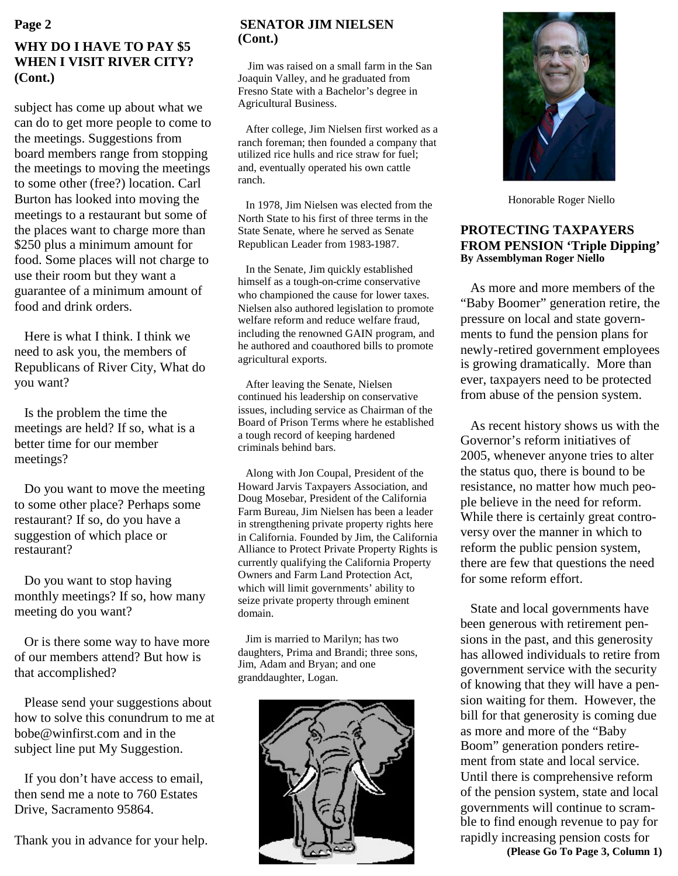# **WHY DO I HAVE TO PAY \$5 WHEN I VISIT RIVER CITY? (Cont.)**

subject has come up about what we can do to get more people to come to the meetings. Suggestions from board members range from stopping the meetings to moving the meetings to some other (free?) location. Carl Burton has looked into moving the meetings to a restaurant but some of the places want to charge more than \$250 plus a minimum amount for food. Some places will not charge to use their room but they want a guarantee of a minimum amount of food and drink orders.

Here is what I think. I think we need to ask you, the members of Republicans of River City, What do you want?

Is the problem the time the meetings are held? If so, what is a better time for our member meetings?

Do you want to move the meeting to some other place? Perhaps some restaurant? If so, do you have a suggestion of which place or restaurant?

Do you want to stop having monthly meetings? If so, how many meeting do you want?

Or is there some way to have more of our members attend? But how is that accomplished?

Please send your suggestions about how to solve this conundrum to me at bobe@winfirst.com and in the subject line put My Suggestion.

If you don't have access to email, then send me a note to 760 Estates Drive, Sacramento 95864.

Thank you in advance for your help.

## **SENATOR JIM NIELSEN (Cont.)**

Jim was raised on a small farm in the San Joaquin Valley, and he graduated from Fresno State with a Bachelor's degree in Agricultural Business.

After college, Jim Nielsen first worked as a ranch foreman; then founded a company that utilized rice hulls and rice straw for fuel; and, eventually operated his own cattle ranch.

In 1978, Jim Nielsen was elected from the North State to his first of three terms in the State Senate, where he served as Senate Republican Leader from 1983-1987.

In the Senate, Jim quickly established himself as a tough-on-crime conservative who championed the cause for lower taxes. Nielsen also authored legislation to promote welfare reform and reduce welfare fraud, including the renowned GAIN program, and he authored and coauthored bills to promote agricultural exports.

After leaving the Senate, Nielsen continued his leadership on conservative issues, including service as Chairman of the Board of Prison Terms where he established a tough record of keeping hardened criminals behind bars.

Along with Jon Coupal, President of the Howard Jarvis Taxpayers Association, and Doug Mosebar, President of the California Farm Bureau, Jim Nielsen has been a leader in strengthening private property rights here in California. Founded by Jim, the California Alliance to Protect Private Property Rights is currently qualifying the California Property Owners and Farm Land Protection Act, which will limit governments' ability to seize private property through eminent domain.

Jim is married to Marilyn; has two daughters, Prima and Brandi; three sons, Jim, Adam and Bryan; and one granddaughter, Logan.





Honorable Roger Niello

#### **PROTECTING TAXPAYERS FROM PENSION 'Triple Dipping' By Assemblyman Roger Niello**

As more and more members of the "Baby Boomer" generation retire, the pressure on local and state governments to fund the pension plans for newly-retired government employees is growing dramatically. More than ever, taxpayers need to be protected from abuse of the pension system.

As recent history shows us with the Governor's reform initiatives of 2005, whenever anyone tries to alter the status quo, there is bound to be resistance, no matter how much people believe in the need for reform. While there is certainly great controversy over the manner in which to reform the public pension system, there are few that questions the need for some reform effort.

State and local governments have been generous with retirement pensions in the past, and this generosity has allowed individuals to retire from government service with the security of knowing that they will have a pension waiting for them. However, the bill for that generosity is coming due as more and more of the "Baby Boom" generation ponders retirement from state and local service. Until there is comprehensive reform of the pension system, state and local governments will continue to scramble to find enough revenue to pay for rapidly increasing pension costs for **(Please Go To Page 3, Column 1)**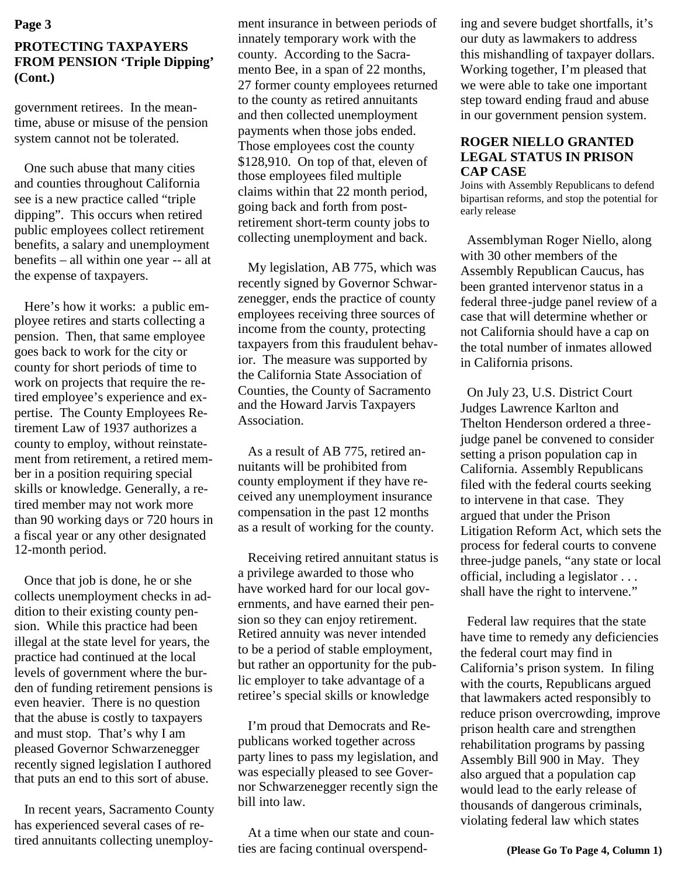# **PROTECTING TAXPAYERS FROM PENSION 'Triple Dipping' (Cont.)**

government retirees. In the meantime, abuse or misuse of the pension system cannot not be tolerated.

One such abuse that many cities and counties throughout California see is a new practice called "triple dipping". This occurs when retired public employees collect retirement benefits, a salary and unemployment benefits – all within one year -- all at the expense of taxpayers.

Here's how it works: a public employee retires and starts collecting a pension. Then, that same employee goes back to work for the city or county for short periods of time to work on projects that require the retired employee's experience and expertise. The County Employees Retirement Law of 1937 authorizes a county to employ, without reinstatement from retirement, a retired member in a position requiring special skills or knowledge. Generally, a retired member may not work more than 90 working days or 720 hours in a fiscal year or any other designated 12-month period.

Once that job is done, he or she collects unemployment checks in addition to their existing county pension. While this practice had been illegal at the state level for years, the practice had continued at the local levels of government where the burden of funding retirement pensions is even heavier. There is no question that the abuse is costly to taxpayers and must stop. That's why I am pleased Governor Schwarzenegger recently signed legislation I authored that puts an end to this sort of abuse.

In recent years, Sacramento County has experienced several cases of retired annuitants collecting unemployinnately temporary work with the county. According to the Sacramento Bee, in a span of 22 months, 27 former county employees returned to the county as retired annuitants and then collected unemployment payments when those jobs ended. Those employees cost the county \$128,910. On top of that, eleven of those employees filed multiple claims within that 22 month period, going back and forth from postretirement short-term county jobs to collecting unemployment and back.

My legislation, AB 775, which was recently signed by Governor Schwarzenegger, ends the practice of county employees receiving three sources of income from the county, protecting taxpayers from this fraudulent behavior. The measure was supported by the California State Association of Counties, the County of Sacramento and the Howard Jarvis Taxpayers Association.

As a result of AB 775, retired annuitants will be prohibited from county employment if they have received any unemployment insurance compensation in the past 12 months as a result of working for the county.

Receiving retired annuitant status is a privilege awarded to those who have worked hard for our local governments, and have earned their pension so they can enjoy retirement. Retired annuity was never intended to be a period of stable employment, but rather an opportunity for the public employer to take advantage of a retiree's special skills or knowledge

I'm proud that Democrats and Republicans worked together across party lines to pass my legislation, and was especially pleased to see Governor Schwarzenegger recently sign the bill into law.

At a time when our state and counties are facing continual overspend-

**Page 3** independent insurance in between periods of ing and severe budget shortfalls, it's our duty as lawmakers to address this mishandling of taxpayer dollars. Working together, I'm pleased that we were able to take one important step toward ending fraud and abuse in our government pension system.

#### **ROGER NIELLO GRANTED LEGAL STATUS IN PRISON CAP CASE**

Joins with Assembly Republicans to defend bipartisan reforms, and stop the potential for early release

Assemblyman Roger Niello, along with 30 other members of the Assembly Republican Caucus, has been granted intervenor status in a federal three-judge panel review of a case that will determine whether or not California should have a cap on the total number of inmates allowed in California prisons.

On July 23, U.S. District Court Judges Lawrence Karlton and Thelton Henderson ordered a threejudge panel be convened to consider setting a prison population cap in California. Assembly Republicans filed with the federal courts seeking to intervene in that case. They argued that under the Prison Litigation Reform Act, which sets the process for federal courts to convene three-judge panels, "any state or local official, including a legislator . . . shall have the right to intervene."

Federal law requires that the state have time to remedy any deficiencies the federal court may find in California's prison system. In filing with the courts, Republicans argued that lawmakers acted responsibly to reduce prison overcrowding, improve prison health care and strengthen rehabilitation programs by passing Assembly Bill 900 in May. They also argued that a population cap would lead to the early release of thousands of dangerous criminals, violating federal law which states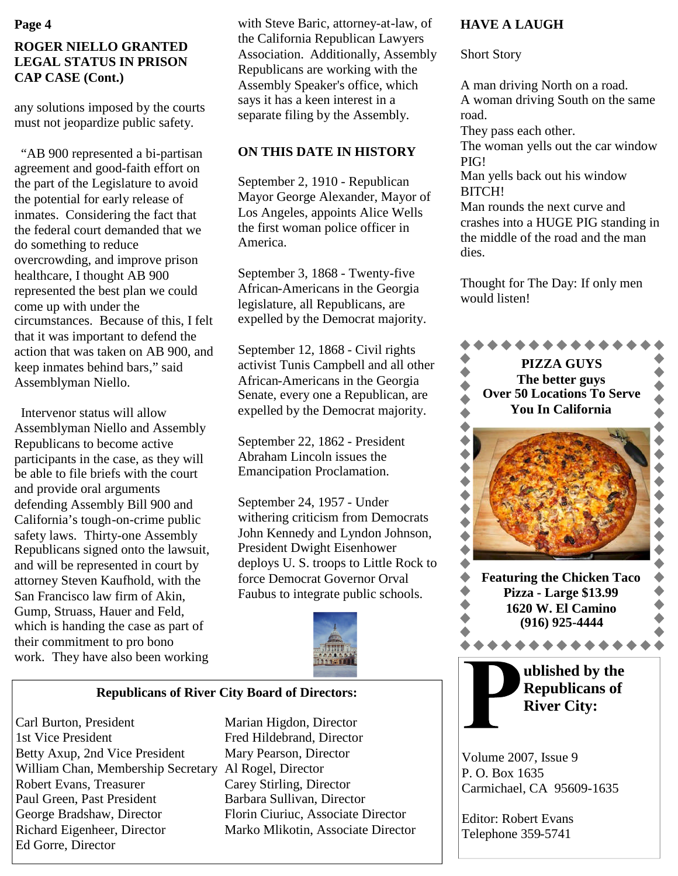# **ROGER NIELLO GRANTED LEGAL STATUS IN PRISON CAP CASE (Cont.)**

any solutions imposed by the courts must not jeopardize public safety.

"AB 900 represented a bi-partisan agreement and good-faith effort on the part of the Legislature to avoid the potential for early release of inmates. Considering the fact that the federal court demanded that we do something to reduce overcrowding, and improve prison healthcare, I thought AB 900 represented the best plan we could come up with under the circumstances. Because of this, I felt that it was important to defend the action that was taken on AB 900, and keep inmates behind bars," said Assemblyman Niello.

Intervenor status will allow Assemblyman Niello and Assembly Republicans to become active participants in the case, as they will be able to file briefs with the court and provide oral arguments defending Assembly Bill 900 and California's tough-on-crime public safety laws. Thirty-one Assembly Republicans signed onto the lawsuit, and will be represented in court by attorney Steven Kaufhold, with the San Francisco law firm of Akin, Gump, Struass, Hauer and Feld, which is handing the case as part of their commitment to pro bono work. They have also been working

with Steve Baric, attorney-at-law, of the California Republican Lawyers Association. Additionally, Assembly Republicans are working with the Assembly Speaker's office, which says it has a keen interest in a separate filing by the Assembly.

# **ON THIS DATE IN HISTORY**

September 2, 1910 - Republican Mayor George Alexander, Mayor of Los Angeles, appoints Alice Wells the first woman police officer in America.

September 3, 1868 - Twenty-five African-Americans in the Georgia legislature, all Republicans, are expelled by the Democrat majority.

September 12, 1868 - Civil rights activist Tunis Campbell and all other African-Americans in the Georgia Senate, every one a Republican, are expelled by the Democrat majority.

September 22, 1862 - President Abraham Lincoln issues the Emancipation Proclamation.

September 24, 1957 - Under withering criticism from Democrats John Kennedy and Lyndon Johnson, President Dwight Eisenhower deploys U. S. troops to Little Rock to force Democrat Governor Orval Faubus to integrate public schools.



### **Republicans of River City Board of Directors:**

Carl Burton, President Marian Higdon, Director 1st Vice President Fred Hildebrand, Director Betty Axup, 2nd Vice President Mary Pearson, Director William Chan, Membership Secretary Al Rogel, Director Robert Evans, Treasurer Carey Stirling, Director Paul Green, Past President Barbara Sullivan, Director George Bradshaw, Director Florin Ciuriuc, Associate Director Richard Eigenheer, Director Marko Mlikotin, Associate Director Ed Gorre, Director

## **HAVE A LAUGH**

Short Story

A man driving North on a road. A woman driving South on the same road.

They pass each other.

The woman yells out the car window PIG!

Man yells back out his window BITCH!

Man rounds the next curve and crashes into a HUGE PIG standing in the middle of the road and the man dies.

Thought for The Day: If only men would listen!



Volume 2007, Issue 9 P. O. Box 1635 Carmichael, CA 95609-1635

Editor: Robert Evans Telephone 359-5741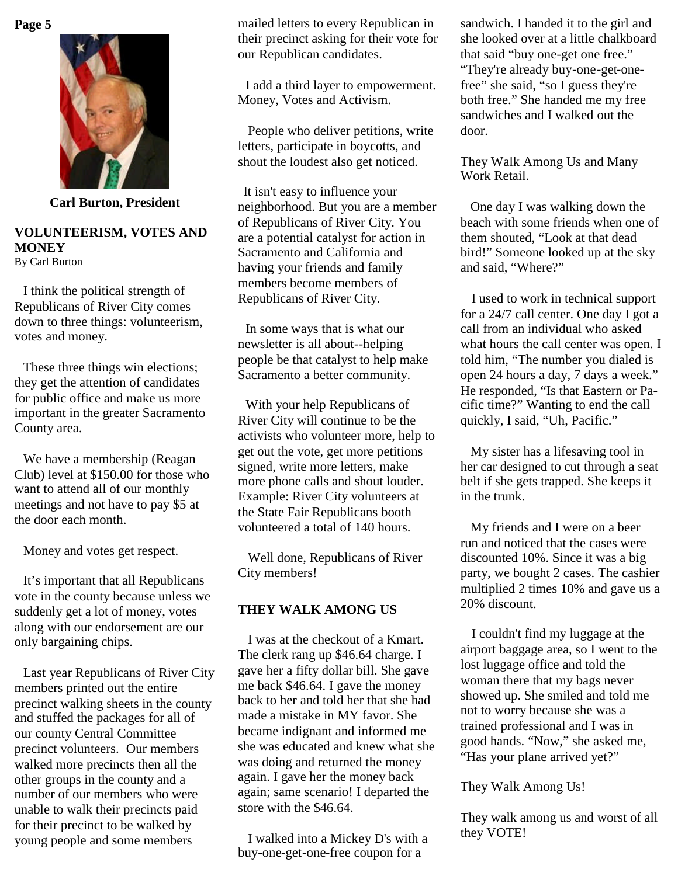

**Carl Burton, President**

# **VOLUNTEERISM, VOTES AND MONEY**

By Carl Burton

I think the political strength of Republicans of River City comes down to three things: volunteerism, votes and money.

These three things win elections; they get the attention of candidates for public office and make us more important in the greater Sacramento County area.

We have a membership (Reagan Club) level at \$150.00 for those who want to attend all of our monthly meetings and not have to pay \$5 at the door each month.

Money and votes get respect.

It's important that all Republicans vote in the county because unless we suddenly get a lot of money, votes along with our endorsement are our only bargaining chips.

Last year Republicans of River City members printed out the entire precinct walking sheets in the county and stuffed the packages for all of our county Central Committee precinct volunteers. Our members walked more precincts then all the other groups in the county and a number of our members who were unable to walk their precincts paid for their precinct to be walked by young people and some members

mailed letters to every Republican in their precinct asking for their vote for our Republican candidates.

I add a third layer to empowerment. Money, Votes and Activism.

People who deliver petitions, write letters, participate in boycotts, and shout the loudest also get noticed.

It isn't easy to influence your neighborhood. But you are a member of Republicans of River City. You are a potential catalyst for action in Sacramento and California and having your friends and family members become members of Republicans of River City.

In some ways that is what our newsletter is all about--helping people be that catalyst to help make Sacramento a better community.

With your help Republicans of River City will continue to be the activists who volunteer more, help to get out the vote, get more petitions signed, write more letters, make more phone calls and shout louder. Example: River City volunteers at the State Fair Republicans booth volunteered a total of 140 hours.

Well done, Republicans of River City members!

## **THEY WALK AMONG US**

I was at the checkout of a Kmart. The clerk rang up \$46.64 charge. I gave her a fifty dollar bill. She gave me back \$46.64. I gave the money back to her and told her that she had made a mistake in MY favor. She became indignant and informed me she was educated and knew what she was doing and returned the money again. I gave her the money back again; same scenario! I departed the store with the \$46.64.

I walked into a Mickey D's with a buy-one-get-one-free coupon for a

sandwich. I handed it to the girl and she looked over at a little chalkboard that said "buy one-get one free." "They're already buy-one-get-onefree" she said, "so I guess they're both free." She handed me my free sandwiches and I walked out the door.

They Walk Among Us and Many Work Retail.

One day I was walking down the beach with some friends when one of them shouted, "Look at that dead bird!" Someone looked up at the sky and said, "Where?"

I used to work in technical support for a 24/7 call center. One day I got a call from an individual who asked what hours the call center was open. I told him, "The number you dialed is open 24 hours a day, 7 days a week." He responded, "Is that Eastern or Pacific time?" Wanting to end the call quickly, I said, "Uh, Pacific."

My sister has a lifesaving tool in her car designed to cut through a seat belt if she gets trapped. She keeps it in the trunk.

My friends and I were on a beer run and noticed that the cases were discounted 10%. Since it was a big party, we bought 2 cases. The cashier multiplied 2 times 10% and gave us a 20% discount.

I couldn't find my luggage at the airport baggage area, so I went to the lost luggage office and told the woman there that my bags never showed up. She smiled and told me not to worry because she was a trained professional and I was in good hands. "Now," she asked me, "Has your plane arrived yet?"

They Walk Among Us!

They walk among us and worst of all they VOTE!